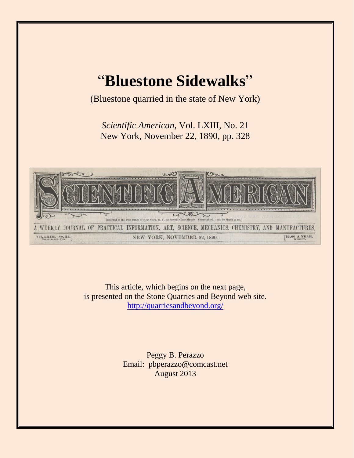## "**Bluestone Sidewalks**"

(Bluestone quarried in the state of New York)

*Scientific American*, Vol. LXIII, No. 21 New York, November 22, 1890, pp. 328



This article, which begins on the next page, is presented on the Stone Quarries and Beyond web site. <http://quarriesandbeyond.org/>

> Peggy B. Perazzo Email: pbperazzo@comcast.net August 2013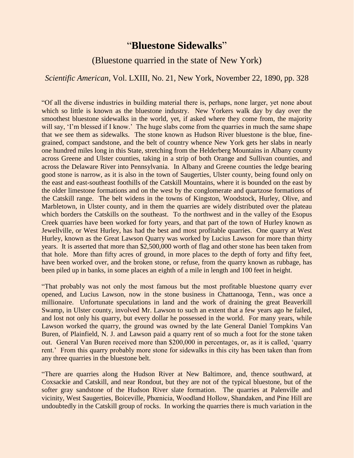## "**Bluestone Sidewalks**"

## (Bluestone quarried in the state of New York)

## *Scientific American*, Vol. LXIII, No. 21, New York, November 22, 1890, pp. 328

"Of all the diverse industries in building material there is, perhaps, none larger, yet none about which so little is known as the bluestone industry. New Yorkers walk day by day over the smoothest bluestone sidewalks in the world, yet, if asked where they come from, the majority will say, 'I'm blessed if I know.' The huge slabs come from the quarries in much the same shape that we see them as sidewalks. The stone known as Hudson River bluestone is the blue, finegrained, compact sandstone, and the belt of country whence New York gets her slabs in nearly one hundred miles long in this State, stretching from the Helderberg Mountains in Albany county across Greene and Ulster counties, taking in a strip of both Orange and Sullivan counties, and across the Delaware River into Pennsylvania. In Albany and Greene counties the ledge bearing good stone is narrow, as it is also in the town of Saugerties, Ulster county, being found only on the east and east-southeast foothills of the Catskill Mountains, where it is bounded on the east by the older limestone formations and on the west by the conglomerate and quartzose formations of the Catskill range. The belt widens in the towns of Kingston, Woodstock, Hurley, Olive, and Marbletown, in Ulster county, and in them the quarries are widely distributed over the plateau which borders the Catskills on the southeast. To the northwest and in the valley of the Esopus Creek quarries have been worked for forty years, and that part of the town of Hurley known as Jewellville, or West Hurley, has had the best and most profitable quarries. One quarry at West Hurley, known as the Great Lawson Quarry was worked by Lucius Lawson for more than thirty years. It is asserted that more than \$2,500,000 worth of flag and other stone has been taken from that hole. More than fifty acres of ground, in more places to the depth of forty and fifty feet, have been worked over, and the broken stone, or refuse, from the quarry known as rubbage, has been piled up in banks, in some places an eighth of a mile in length and 100 feet in height.

"That probably was not only the most famous but the most profitable bluestone quarry ever opened, and Lucius Lawson, now in the stone business in Chattanooga, Tenn., was once a millionaire. Unfortunate speculations in land and the work of draining the great Beaverkill Swamp, in Ulster county, involved Mr. Lawson to such an extent that a few years ago he failed, and lost not only his quarry, but every dollar he possessed in the world. For many years, while Lawson worked the quarry, the ground was owned by the late General Daniel Tompkins Van Buren, of Plainfield, N. J. and Lawson paid a quarry rent of so much a foot for the stone taken out. General Van Buren received more than \$200,000 in percentages, or, as it is called, 'quarry rent.' From this quarry probably more stone for sidewalks in this city has been taken than from any three quarries in the bluestone belt.

"There are quarries along the Hudson River at New Baltimore, and, thence southward, at Coxsackie and Catskill, and near Rondout, but they are not of the typical bluestone, but of the softer gray sandstone of the Hudson River slate formation. The quarries at Palenville and vicinity, West Saugerties, Boiceville, Phœnicia, Woodland Hollow, Shandaken, and Pine Hill are undoubtedly in the Catskill group of rocks. In working the quarries there is much variation in the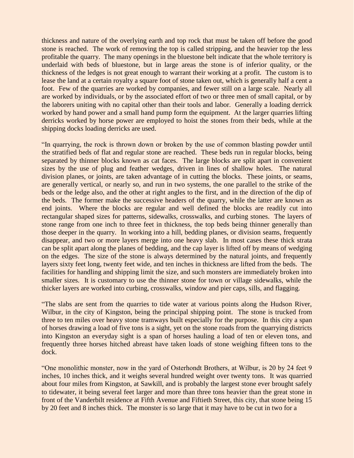thickness and nature of the overlying earth and top rock that must be taken off before the good stone is reached. The work of removing the top is called stripping, and the heavier top the less profitable the quarry. The many openings in the bluestone belt indicate that the whole territory is underlaid with beds of bluestone, but in large areas the stone is of inferior quality, or the thickness of the ledges is not great enough to warrant their working at a profit. The custom is to lease the land at a certain royalty a square foot of stone taken out, which is generally half a cent a foot. Few of the quarries are worked by companies, and fewer still on a large scale. Nearly all are worked by individuals, or by the associated effort of two or three men of small capital, or by the laborers uniting with no capital other than their tools and labor. Generally a loading derrick worked by hand power and a small hand pump form the equipment. At the larger quarries lifting derricks worked by horse power are employed to hoist the stones from their beds, while at the shipping docks loading derricks are used.

"In quarrying, the rock is thrown down or broken by the use of common blasting powder until the stratified beds of flat and regular stone are reached. These beds run in regular blocks, being separated by thinner blocks known as cat faces. The large blocks are split apart in convenient sizes by the use of plug and feather wedges, driven in lines of shallow holes. The natural division planes, or joints, are taken advantage of in cutting the blocks. These joints, or seams, are generally vertical, or nearly so, and run in two systems, the one parallel to the strike of the beds or the ledge also, and the other at right angles to the first, and in the direction of the dip of the beds. The former make the successive headers of the quarry, while the latter are known as end joints. Where the blocks are regular and well defined the blocks are readily cut into rectangular shaped sizes for patterns, sidewalks, crosswalks, and curbing stones. The layers of stone range from one inch to three feet in thickness, the top beds being thinner generally than those deeper in the quarry. In working into a hill, bedding planes, or division seams, frequently disappear, and two or more layers merge into one heavy slab. In most cases these thick strata can be split apart along the planes of bedding, and the cap layer is lifted off by means of wedging on the edges. The size of the stone is always determined by the natural joints, and frequently layers sixty feet long, twenty feet wide, and ten inches in thickness are lifted from the beds. The facilities for handling and shipping limit the size, and such monsters are immediately broken into smaller sizes. It is customary to use the thinner stone for town or village sidewalks, while the thicker layers are worked into curbing, crosswalks, window and pier caps, sills, and flagging.

"The slabs are sent from the quarries to tide water at various points along the Hudson River, Wilbur, in the city of Kingston, being the principal shipping point. The stone is trucked from three to ten miles over heavy stone tramways built especially for the purpose. In this city a span of horses drawing a load of five tons is a sight, yet on the stone roads from the quarrying districts into Kingston an everyday sight is a span of horses hauling a load of ten or eleven tons, and frequently three horses hitched abreast have taken loads of stone weighing fifteen tons to the dock.

"One monolithic monster, now in the yard of Osterhondt Brothers, at Wilbur, is 20 by 24 feet 9 inches, 10 inches thick, and it weighs several hundred weight over twenty tons. It was quarried about four miles from Kingston, at Sawkill, and is probably the largest stone ever brought safely to tidewater, it being several feet larger and more than three tons heavier than the great stone in front of the Vanderbilt residence at Fifth Avenue and Fiftieth Street, this city, that stone being 15 by 20 feet and 8 inches thick. The monster is so large that it may have to be cut in two for a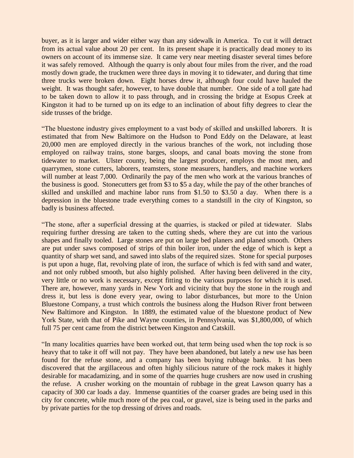buyer, as it is larger and wider either way than any sidewalk in America. To cut it will detract from its actual value about 20 per cent. In its present shape it is practically dead money to its owners on account of its immense size. It came very near meeting disaster several times before it was safely removed. Although the quarry is only about four miles from the river, and the road mostly down grade, the truckmen were three days in moving it to tidewater, and during that time three trucks were broken down. Eight horses drew it, although four could have hauled the weight. It was thought safer, however, to have double that number. One side of a toll gate had to be taken down to allow it to pass through, and in crossing the bridge at Esopus Creek at Kingston it had to be turned up on its edge to an inclination of about fifty degrees to clear the side trusses of the bridge.

"The bluestone industry gives employment to a vast body of skilled and unskilled laborers. It is estimated that from New Baltimore on the Hudson to Pond Eddy on the Delaware, at least 20,000 men are employed directly in the various branches of the work, not including those employed on railway trains, stone barges, sloops, and canal boats moving the stone from tidewater to market. Ulster county, being the largest producer, employs the most men, and quarrymen, stone cutters, laborers, teamsters, stone measurers, handlers, and machine workers will number at least 7,000. Ordinarily the pay of the men who work at the various branches of the business is good. Stonecutters get from \$3 to \$5 a day, while the pay of the other branches of skilled and unskilled and machine labor runs from \$1.50 to \$3.50 a day. When there is a depression in the bluestone trade everything comes to a standstill in the city of Kingston, so badly is business affected.

"The stone, after a superficial dressing at the quarries, is stacked or piled at tidewater. Slabs requiring further dressing are taken to the cutting sheds, where they are cut into the various shapes and finally tooled. Large stones are put on large bed planers and planed smooth. Others are put under saws composed of strips of thin boiler iron, under the edge of which is kept a quantity of sharp wet sand, and sawed into slabs of the required sizes. Stone for special purposes is put upon a huge, flat, revolving plate of iron, the surface of which is fed with sand and water, and not only rubbed smooth, but also highly polished. After having been delivered in the city, very little or no work is necessary, except fitting to the various purposes for which it is used. There are, however, many yards in New York and vicinity that buy the stone in the rough and dress it, but less is done every year, owing to labor disturbances, but more to the Union Bluestone Company, a trust which controls the business along the Hudson River front between New Baltimore and Kingston. In 1889, the estimated value of the bluestone product of New York State, with that of Pike and Wayne counties, in Pennsylvania, was \$1,800,000, of which full 75 per cent came from the district between Kingston and Catskill.

"In many localities quarries have been worked out, that term being used when the top rock is so heavy that to take it off will not pay. They have been abandoned, but lately a new use has been found for the refuse stone, and a company has been buying rubbage banks. It has been discovered that the argillaceous and often highly silicious nature of the rock makes it highly desirable for macadamizing, and in some of the quarries huge crushers are now used in crushing the refuse. A crusher working on the mountain of rubbage in the great Lawson quarry has a capacity of 300 car loads a day. Immense quantities of the coarser grades are being used in this city for concrete, while much more of the pea coal, or gravel, size is being used in the parks and by private parties for the top dressing of drives and roads.